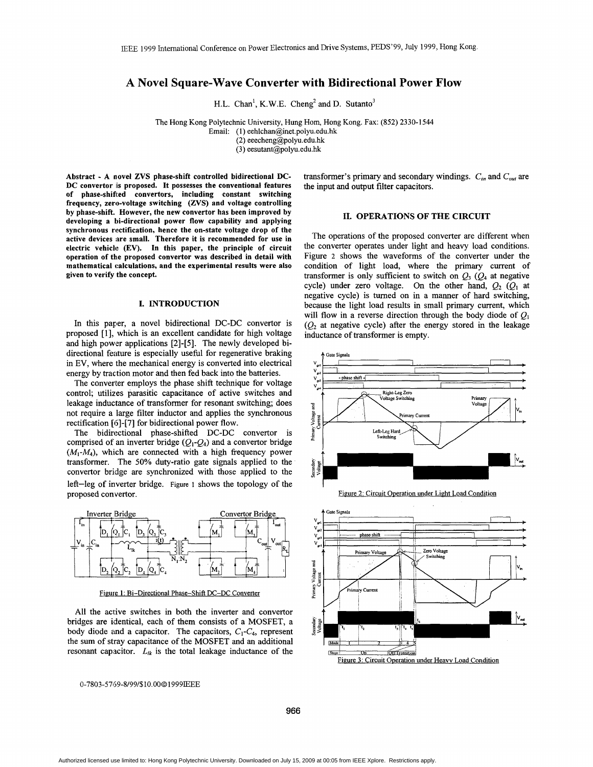# **A Novel Square-Wave Converter with Bidirectional Power Flow**

H.L. Chan<sup>1</sup>, K.W.E. Cheng<sup>2</sup> and D. Sutanto<sup>3</sup>

The Hong Kong Polytechnic University, Hung Horn, Hong Kong. Fax: (852) 2330-1544

Email: (1) **eehlchan@inet.polyu.edu.hk** 

(2) eeecheng@polyu.edu.hk

(3) eesutant@polyu.edu.hk

**Abstract** - **A novel ZVS phase-shift controlled bidirectional DC-DC convertor iis proposed. It possesses the conventional features of phase-shifed convertors, including constant switching frequency, zero-voltage switching (ZVS) and voltage controlling by phase-shift. However, the new convertor has been improved by**  developing a bi-directional power flow capability and applying **synchronous rectification, hence the on-state voltage drop of the active devices are small. Therefore it is recommended for use in electric vehicle (EV). In this paper, the principle of circuit**  operation of the proposed convertor was described in detail with **mathematical calculations, and the experimental results were also given to verify the concept.** 

## **I. INTRODUCTION**

In this paper, a novel bidirectional DC-DC convertor is proposed [l], which is an excellent candidate for high voltage and high power applications [2]-[5]. The newly developed bidirectional feature is especially useful for regenerative braking in EV, where the mechanical energy is converted into electrical energy by traction motor and then fed back into the batteries.

The converter employs the phase shift technique for voltage control; utilizes parasitic capacitance of active switches and leakage inductance of transformer for resonant switching; does not require a large filter inductor and applies the synchronous rectification  $[6]$ - $[7]$  for bidirectional power flow.

The bidirectional phase-shifted DC-DC convertor is comprised of an inverter bridge  $(Q_1-Q_4)$  and a convertor bridge  $(M_1-M_4)$ , which are connected with a high frequency power transformer. The **50%** duty-ratio gate signals applied to the convertor bridge are synchronized with those applied to the left-leg of inverter bridge. Figure 1 shows the topology of the proposed convertor.



Figure 1: Bi-Directional Phase-Shift DC-DC Converter

All the active switches in both the inverter and convertor bridges are identical, each of them consists of a MOSFET, a body diode and a capacitor. The capacitors,  $C_1-C_4$ , represent the sum of stray capacitance of the MOSFET and an additional resonant capacitor.  $L_{lk}$  is the total leakage inductance of the

0-780 3-5 *76* 9-819 9/\$10.00 *0* **1** 9 9 9IEEE

transformer's primary and secondary windings.  $C_{in}$  and  $C_{out}$  are the input and output filter capacitors.

## **11. OPERATIONS OF THE CIRCUIT**

The operations of the proposed converter are different when the converter operates under light and heavy load conditions. Figure 2 shows the waveforms of the converter under the condition of light load, where the primary current **of**  transformer is only sufficient to switch on  $Q_3$  ( $Q_4$  at negative cycle) under zero voltage. On the other hand,  $Q_2$  ( $Q_1$  at negative cycle) is turned on in a manner of hard switching, because the light load results in small primary current, which will flow in a reverse direction through the body diode of  $Q_1$ <br>( $Q_2$  at negative cycle) after the energy stored in the leakage inductance **of** transformer is empty.



Figure 2: Circuit Operation under Light Load Condition



**966**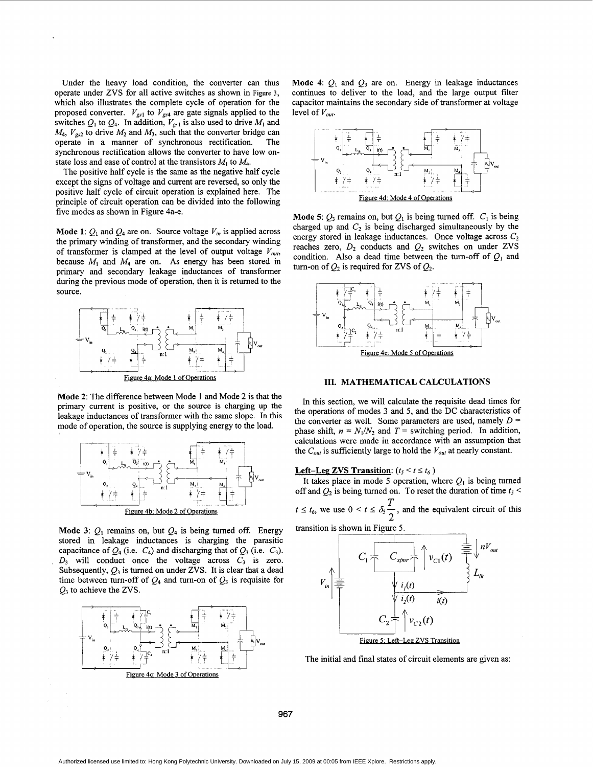Under the heavy load condition, the converter can thus operate under ZVS for all active switches as shown in Figure **3,**  which also illustrates the complete cycle of operation for the proposed converter.  $V_{gs1}$  to  $V_{gs4}$  are gate signals applied to the switches  $Q_1$  to  $Q_4$ . In addition,  $V_{gs1}$  is also used to drive  $M_1$  and  $M_4$ ,  $V_{gs2}$  to drive  $M_2$  and  $M_3$ , such that the converter bridge can operate in a manner of synchronous rectification. The synchronous rectification allows the converter to have low onstate loss and ease of control at the transistors  $M_1$  to  $M_4$ .

The positive half cycle is the same as the negative half cycle except the signs of voltage and current are reversed, so only the positive half cycle of circuit operation is explained here. The principle of circuit operation can be divided into the following five modes as shown in Figure 4a-e.

**Mode 1:**  $Q_1$  and  $Q_4$  are on. Source voltage  $V_{in}$  is applied across the primary winding of transformer, and the secondary winding of transformer is clamped at the level of output voltage  $V_{out}$ , because  $M_1$  and  $M_4$  are on. As energy has been stored in primary and secondary leakage inductances of transformer during the previous mode of operation, then it is returned to the source.



**Mode 2:** The difference between Mode 1 and Mode 2 is that the primary current is positive, or the source is charging up the leakage inductances of transformer with the same slope. In this mode of operation, the source is supplying energy to the load.



**Mode 3:**  $Q_1$  remains on, but  $Q_4$  is being turned off. Energy stored in leakage inductances is charging the parasitic capacitance of  $Q_4$  (i.e.  $C_4$ ) and discharging that of  $Q_3$  (i.e.  $C_3$ ).  $D_3$  will conduct once the voltage across  $C_3$  is zero. Subsequently,  $Q_3$  is turned on under ZVS. It is clear that a dead time between turn-off of  $Q_4$  and turn-on of  $Q_3$  is requisite for



**Mode 4:**  $Q_1$  and  $Q_3$  are on. Energy in leakage inductances continues to deliver to the load, and the large output filter capacitor maintains the secondary side of transformer at voltage level of  $V_{out}$ .



**Mode 5:**  $Q_3$  remains on, but  $Q_1$  is being turned off.  $C_1$  is being charged up and  $C_2$  is being discharged simultaneously by the energy stored in leakage inductances. Once voltage across  $C_2$ reaches zero,  $D_2$  conducts and  $Q_2$  switches on under ZVS condition. Also a dead time between the turn-off of  $Q_1$  and turn-on of  $Q_2$  is required for ZVS of  $Q_2$ .



**111. MATHEMATICAL CALCULATIONS** 

In this section, we will calculate the requisite dead times for the operations of modes **3** and 5, and the DC characteristics of the converter as well. Some parameters are used, namely  $D =$ phase shift,  $n = N_1/N_2$  and  $T =$  switching period. In addition, calculations were made in accordance with an assumption that the  $C_{out}$  is sufficiently large to hold the  $V_{out}$  at nearly constant.

# **Left-Leg ZVS Transition:**  $(t_5 < t \le t_6)$

It takes place in mode 5 operation, where  $Q_1$  is being turned off and  $Q_2$  is being turned on. To reset the duration of time  $t_5$  < off and  $Q_2$  is being turned on. To reset the duration of time  $t_5 < t \leq t_6$ , we use  $0 < t \leq \delta_5 \frac{T}{2}$ , and the equivalent circuit of this *T*  2

transition is shown in Figure 5.



The initial and final states of circuit elements are given as:

**967**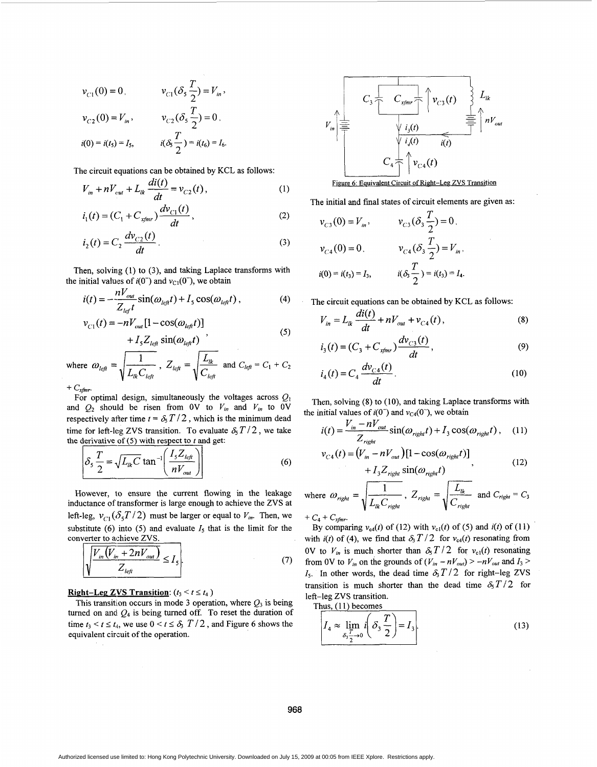$$
v_{C1}(0) = 0, \t v_{C1}(\delta_s \frac{T}{2}) = V_{in},
$$
  

$$
v_{C2}(0) = V_{in}, \t v_{C2}(\delta_s \frac{T}{2}) = 0,
$$
  

$$
i(0) = i(t_5) = I_5, \t i(\delta_s \frac{T}{2}) = i(t_6) = I_6.
$$

The circuit equations can be obtained by KCL as follows:

$$
i(0) = i(t_5) = I_5, \t i(\delta_5 \frac{T}{2}) = i(t_6) = I_6.
$$
  
he circuit equations can be obtained by KCL as follows:  

$$
V_{in} + nV_{cut} + L_{lk} \frac{di(t)}{dt} = v_{C2}(t), \t (1)
$$

$$
i_1(t) = (C_1 + C_{xfmr}) \frac{dv_{C1}(t)}{dt}, \t (2)
$$

$$
i_2(t) = C_2 \frac{dv_{C2}(t)}{dt}.
$$
 (3)

$$
i_1(t) = (C_1 + C_{x/mr}) \frac{dv_{C1}(t)}{dt},
$$
 (2)

$$
i_2(t) = C_2 \frac{dv_{C2}(t)}{dt}.
$$
 (3)

Then, solving (1) to **(3),** and taking Laplace transforms with the initial values of  $i(0^-)$  and  $v_{C1}(0^-)$ , we obtain

$$
i(t) = -\frac{nV_{out}}{Z_{left}} \sin(\omega_{left}) + I_s \cos(\omega_{left}), \qquad (4)
$$

$$
v_{C1}(t) = -nV_{out}[1 - \cos(\omega_{left})]
$$
\n(5)

$$
i(t) = -\frac{nV_{out}}{Z_{left}} \sin(\omega_{left}t) + I_s \cos(\omega_{left}t),
$$
\n(4) The circuit equations can be obtain  
\n
$$
v_{C1}(t) = -nV_{out}[1 - \cos(\omega_{left}t)]
$$
\n
$$
+ I_s Z_{left} \sin(\omega_{left}t)
$$
\nwhere  $\omega_{left} = \sqrt{\frac{1}{L_{int}C_{left}}}, Z_{left} = \sqrt{\frac{L_{int}}{C_{left}}}, Z_{left} = \sqrt{\frac{L_{int}}{C_{left}}}\right)$  and  $C_{left} = C_1 + C_2$   
\nFor optimal design simultaneously the voltages across *O*,  
\n
$$
i_1(t) = C_4 \frac{dv_{C4}(t)}{dt}.
$$

For optimal design, simultaneously the voltages across  $Q_1$ and  $Q_2$  should be risen from 0V to  $V_{in}$  and  $V_{in}$  to 0V respectively after time  $t = \delta_5 T / 2$ , which is the minimum dead time for left-leg ZVS transition. To evaluate  $\delta_5 T/2$ , we take the derivative of  $(5)$  with respect to  $t$  and get:  $i_1(t) = (C_1 + C_{xfinr}) \frac{dv_{C1}(t)}{dt}$ ,<br>  $i_2(t) = C_2 \frac{dv_{C2}(t)}{dt}$ .<br>  $i_2(t) = C_2 \frac{dv_{C2}(t)}{dt}$ .<br>  $i_2(t) = -\frac{nV_{out}}{Z_{left}} \sin(\omega_{left}t) + I_3 \cos(\omega_{left}t)$ ,<br>  $v_{C1}(t) = -\frac{nV_{out}}{Z_{left}} \sin(\omega_{left}t) + I_3 \cos(\omega_{left}t)$ ,<br>  $v_{C1}(t) = -nV_{out} [1 - \cos(\omega_{left}t)]$ <br>  $+ I_5 Z_{left$ 

$$
\delta_s \frac{T}{2} = \sqrt{L_{ik} C} \tan^{-1} \left( \frac{I_s Z_{left}}{n V_{out}} \right) \right)
$$
 (6)

However, to ensure the current flowing in the leakage inductance of transformer is large enough to achieve the ZVS at left-leg,  $v_{C1}(\delta_5 T/2)$  must be larger or equal to  $V_{in}$ . Then, we substitute (6) into (5) and evaluate  $I_5$  that is the limit for the  $\delta_5 \frac{T}{2} = \sqrt{L_{lk}C} \tan^{-1} \left( \frac{I_5}{n} \right)$ <br>
However, to ensure the current is larger<br>
left-leg,  $v_{C1}(\delta_5 T/2)$  must be<br>
substitute (6) into (5) and eval<br>
converter to achieve ZVS.<br>  $\sqrt{\frac{V_m(V_m + 2nV_{out})}{Z_{tot}}} \le I_5$ 

$$
\sqrt{\frac{V_{in}(V_{in} + 2nV_{out})}{Z_{left}}} \le I_{5}.
$$
\n(7)

## **Right-Leg ZVS Transition:**  $(t_3 < t \leq t_4)$

This transition occurs in mode 3 operation, where  $Q_3$  is being turned on and  $Q_4$  is being turned off. To reset the duration of time  $t_3 < t \leq t_4$ , we use  $0 < t \leq \delta$ ,  $T/2$ , and Figure 6 shows the equivalent circuit of the operation.



The initial and final states of circuit elements are given as:

$$
v_{C3}(0) = V_m, \t v_{C3}(\delta_3 \frac{T}{2}) = 0,
$$
  

$$
v_{C4}(0) = 0, \t v_{C4}(\delta_3 \frac{T}{2}) = V_m,
$$
  

$$
i(0) = i(t_3) = I_3, \t i(\delta_3 \frac{T}{2}) = i(t_3) = I_4.
$$

The circuit equations can be obtained by KCL as follows:

$$
V_{in} = L_{lk} \frac{di(t)}{dt} + nV_{out} + v_{C4}(t),
$$
 (8)

$$
i_3(t) = (C_3 + C_{xfinr}) \frac{dv_{C3}(t)}{dt},
$$
\n(9)

$$
i_4(t) = C_4 \frac{dv_{C4}(t)}{dt}.
$$
 (10)

Then, solving (8) to (10), and taking Laplace transforms with the initial values of  $i(0^-)$  and  $v_{C4}(0^-)$ , we obtain

if it is a value of 
$$
I(t)
$$
 and  $V_{C4}(t)$ , we obtain  
\n
$$
i(t) = \frac{V_{in} - nV_{out}}{Z_{right}} \sin(\omega_{right}t) + I_{3} \cos(\omega_{right}t), \quad (11)
$$

$$
v_{C4}(t) = (V_{in} - nV_{out})[1 - \cos(\omega_{right}t)]
$$
  
+  $I_3 Z_{right} \sin(\omega_{right}t)$ , (12)

where 
$$
\omega_{right} = \sqrt{\frac{1}{L_{lk}C_{right}}}
$$
,  $Z_{right} = \sqrt{\frac{L_{lk}}{C_{right}}}$  and  $C_{right} = C_3$   
+  $C_4 + C_{xfmr}$ .

By comparing  $v_{c4}(t)$  of (12) with  $v_{c1}(t)$  of (5) and  $i(t)$  of (11) with  $i(t)$  of (4), we find that  $\delta_3 T/2$  for  $v_{c4}(t)$  resonating from OV to  $V_{in}$  is much shorter than  $\delta_{\rm S} T/2$  for  $v_{\rm cl}(t)$  resonating from 0V to  $V_{in}$  on the grounds of  $(V_{in} - nV_{out}) > -nV_{out}$  and  $I_3 >$  $I_5$ . In other words, the dead time  $\delta_3 T/2$  for right-leg ZVS transition is much shorter than the dead time  $\delta_5 T/2$  for left-leg ZVS transition.

Thus,  $(11)$  becomes

$$
I_4 \approx \lim_{\delta_3 \frac{T}{2} \to 0} i \left( \delta_3 \frac{T}{2} \right) = I_3.
$$
 (13)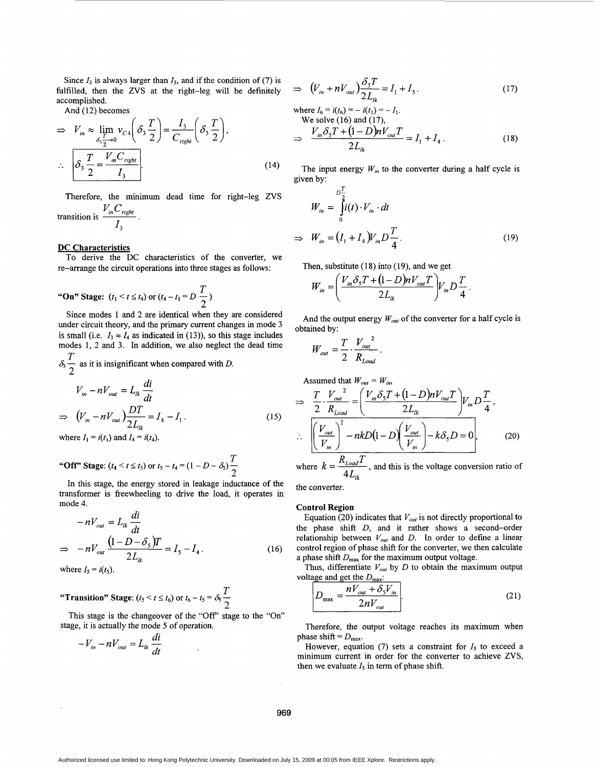Since  $I_3$  is always larger than  $I_5$ , and if the condition of (7) is fulfilled, then the ZVS at the right-leg will be definitely accomplished.

**Contract** 

And (12) becomes

$$
\Rightarrow V_{in} \approx \lim_{\delta_3 \frac{T}{2} \to 0} v_{C4} \left( \delta_3 \frac{T}{2} \right) = \frac{I_3}{C_{right}} \left( \delta_3 \frac{T}{2} \right),
$$
  
\n
$$
\therefore \left[ \delta_3 \frac{T}{2} = \frac{V_{in} C_{right}}{I_3} \right].
$$
  
\nTherefore, the minimum dead time for right-leg ZVS  
\ntransition is  $\frac{V_{in} C_{right}}{I_3}$ . (14)

Therefore, the minimum dead time for right-leg ZVS

#### DC Characteristics

re-arrange the circuit operations into three stages as follows: To derive the DC characteristics of the converter, we

"On" Stage: 
$$
(t_1 < t \le t_4)
$$
 or  $(t_4 - t_1 = D \frac{T}{2})$ 

*13* 

Since modes 1 and 2 are identical when they are considered under circuit theory, and the primary current changes in mode 3 is small (i.e.  $I_3 \approx I_4$  as indicated in (13)), so this stage includes modes 1, 2 and 3. In addition, we also neglect the dead time modes 1, 2 and 3. In addition, we also neglect t<br> $\frac{T}{\delta_3}$  as it is insignificant when compared with *D*. *T 2* 

$$
V_{in} - nV_{out} = L_{lk} \frac{di}{dt}
$$
  
\n
$$
\Rightarrow \left( V_{in} - nV_{out} \right) \frac{DT}{2L_{lk}} = I_4 - I_1.
$$
 (15)

where  $I_1 = i(t_1)$  and  $I_4 = i(t_4)$ .

"Off" Stage: 
$$
(t_4 < t \le t_5)
$$
 or  $t_5 - t_4 = (1 - D - \delta_5) \frac{T}{2}$ 

In this stage, the energy stored in leakage inductance **of** the transformer is freewheeling to drive the load, it operates in mode 4.

$$
-nV_{out} = L_{lk} \frac{di}{dt}
$$
  
\n
$$
\Rightarrow -nV_{out} \frac{(1 - D - \delta_{s})T}{2L_{lk}} = I_{s} - I_{4}.
$$
 (16)

where  $I_5 = i(t_5)$ .

*T*  "Transition" Stage:  $(t_5 < t \le t_6)$  or  $t_6 - t_5 = \delta_5 \frac{T}{2}$ 

This stage is the changeover of the "Off' stage to the "On" stage, it is actually the mode 5 of operation.<br>  $-V_{in} - nV_{out} = L_{ik} \frac{di}{dt}$ 

$$
-V_{in} - nV_{out} = L_{lk} \frac{di}{dt}
$$

$$
\Rightarrow \left( V_m + n V_{out} \right) \frac{\delta_s T}{2L_{lk}} = I_1 + I_5. \tag{17}
$$

where 
$$
I_6 = i(t_6) = -i(t_1) = -I_1
$$
.  
\nWe solve (16) and (17),  
\n
$$
\Rightarrow \frac{V_{in} \delta_5 T + (1 - D)nV_{out} T}{2L_{ik}} = I_1 + I_4.
$$
\n(18)

The input energy  $W_{in}$  to the converter during a half cycle is given by:

$$
W_{in} = \int_{0}^{D_{\frac{1}{2}}} i(t) \cdot V_{in} \cdot dt
$$
  
\n
$$
\Rightarrow W_{in} = (I_{1} + I_{4}) V_{in} D \frac{T}{4}.
$$
 (19)

Then, substitute  $(18)$  into  $(19)$ , and we get

$$
W_{in} = \left(\frac{V_{in}\delta_s T + (1 - D)nV_{out}T}{2L_{ik}}\right)V_{in}D\frac{T}{4}.
$$

And the output energy  $W_{out}$  of the converter for a half cycle is obtained by:

$$
W_{out} = \frac{T}{2} \cdot \frac{V_{out}^2}{R_{Load}}.
$$

Assumed that  $W_{out} = W_{in}$ ,

$$
\Rightarrow \frac{T}{2} \cdot \frac{V_{out}}{R_{Load}} = \left(\frac{V_{in} \delta_S T + (1 - D)nV_{out} T}{2L_R}\right) V_{in} D \frac{T}{4},
$$
  
\n
$$
\therefore \left[\left(\frac{V_{out}}{V_{in}}\right)^2 - nkD(1 - D)\left(\frac{V_{out}}{V_{in}}\right) - k\delta_S D = 0\right],
$$
  
\nwhere  $k = \frac{R_{Load} T}{4L_k}$ , and this is the voltage conversion ratio of  
\nthe converter. (20)

 $\mathbf{r}_L$  $4L_{lk}$ 

the converter.

## Control Region

Equation (20) indicates that  $V_{out}$  is not directly proportional to the phase shift *D,* and it rather shows a second-order relationship between  $V_{out}$  and  $D$ . In order to define a linear control region of phase shift for the converter, we then calculate a phase shift  $D_{\text{max}}$  for the maximum output voltage.

Thus, differentiate  $V_{out}$  by  $D$  to obtain the maximum output voltage and get the  $D_{\text{max}}$ :

$$
D_{\text{max}} = \frac{nV_{out} + \delta_s V_{in}}{2nV_{out}}.
$$
 (21)

Therefore, the output voltage reaches its maximum when phase shift =  $D_{\text{max}}$ .

However, equation (7) sets a constraint for  $I_5$  to exceed a minimum current in order for the converter to achieve ZVS, then we evaluate  $I_5$  in term of phase shift.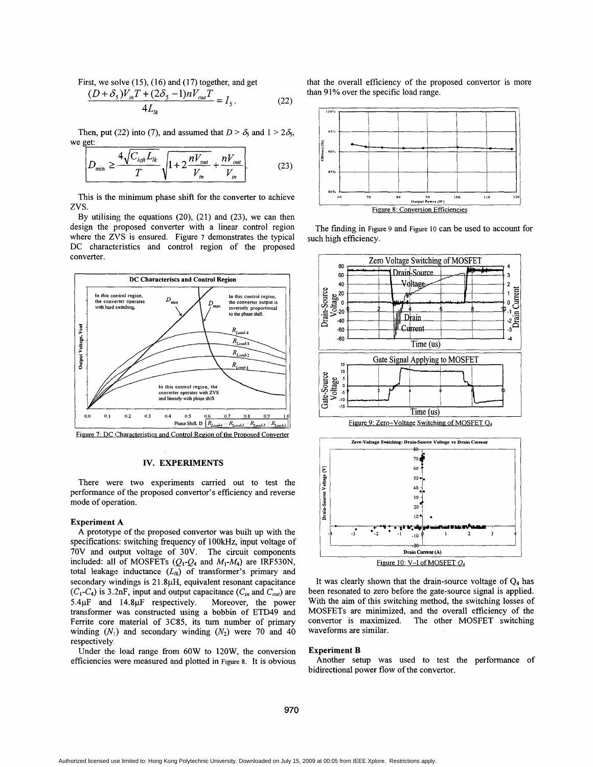First, we solve  $(15)$ ,  $(16)$  and  $(17)$  together, and get

$$
\frac{(D+\delta_{5})V_{in}T+(2\delta_{5}-1)nV_{out}T}{4L_{ik}}=I_{5}.
$$
 (22)

Then, put (22) into (7), and assumed that  $D > \delta_5$  and  $1 > 2\delta_5$ ,

$$
D_{\min} \ge \frac{4\sqrt{C_{\text{left}}L_{\text{lk}}}}{T} \sqrt{1 + 2\frac{nV_{\text{out}}}{V_{\text{in}}} + \frac{nV_{\text{out}}}{V_{\text{in}}}}.
$$
 (23)

This is the minimum phase shift for the converter to achieve zvs.

By utilising the equations **(20), (21)** and **(23),** we can then design the proposed converter with a linear control region where the ZVS is ensured. Figure 7 demonstrates the typical DC characteristics and control region of the proposed converter.



Figure 7: DC Characteristics and Control Region of the Proposed Converter

## **IV. EXPERIMENTS**

There were two experiments carried out to test the performance of the proposed convertor's efficiency and reverse mode of operation.

#### **Experiment A**

**A** prototype **of** the proposed convertor was built up with the specifications: switching frequency **of** 1 **OOkHz,** input voltage of 70V and output voltage of **30V.** The circuit components included: all of MOSFETs  $(Q_1-Q_4$  and  $M_1-M_4$ ) are IRF530N, total leakage inductance  $(L_{lk})$  of transformer's primary and secondary windings is **2** 1 **.SpH,** equivalent resonant capacitance  $(C_1-C_4)$  is 3.2nF, input and output capacitance  $(C_{in}$  and  $C_{out}$ ) are 5.4 $\mu$ F and 14.8 $\mu$ F respectively. Moreover, the power transformer was constructed using a bobbin of ETD49 and Ferrite core material of **3C85,** its turn number of primary winding  $(N_1)$  and secondary winding  $(N_2)$  were 70 and 40 respectively.

Under the load range from 60W to **120W,** the conversion efficiencies were measured and plotted in **Figure** 8. It is obvious that the overall efficiency of the proposed convertor is more than 91% over the specific load range.



The finding in **Figure** 9 and **Figure 10** can be used to account for such high efficiency.



It was clearly shown that the drain-source voltage of **Q4** has been resonated to zero before the gate-source signal is applied. With the aim of this switching method, the switching losses of MOSFETs are minimized, and the overall efficiency of the convertor is maximized. The other MOSFET switching waveforms are similar.

## **Experiment B**

bidirectional power flow of the convertor. Another setup was used to test the performance **of**